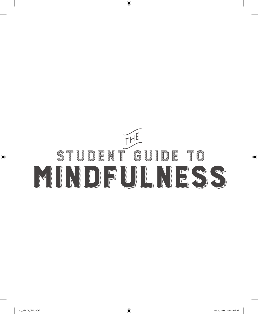

 $\bigoplus$ 

 $\bigoplus$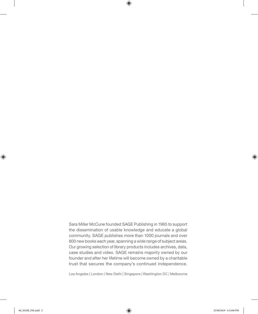Sara Miller McCune founded SAGE Publishing in 1965 to support the dissemination of usable knowledge and educate a global community. SAGE publishes more than 1000 journals and over 800 new books each year, spanning a wide range of subject areas. Our growing selection of library products includes archives, data, case studies and video. SAGE remains majority owned by our founder and after her lifetime will become owned by a charitable trust that secures the company's continued independence.

 $\bigoplus$ 

Los Angeles | London | New Delhi | Singapore | Washington DC | Melbourne

 $\bigoplus$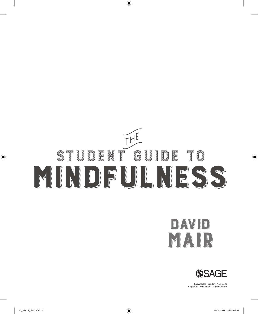

⊕

# DAVID MAIR



Los Angeles | London | New Delhi Singapore | Washington DC | Melbourne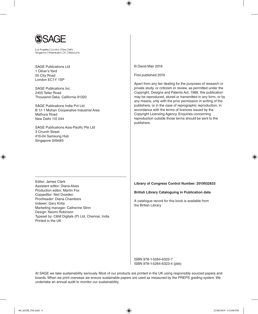

Los Angeles | London | New Delhi Singapore | Washington DC | Melbourne

SAGE Publications Ltd 1 Oliver's Yard 55 City Road London EC1Y 1SP

SAGE Publications Inc. 2455 Teller Road Thousand Oaks, California 91320

SAGE Publications India Pvt Ltd B 1/I 1 Mohan Cooperative Industrial Area Mathura Road New Delhi 110 044

SAGE Publications Asia-Pacific Pte Ltd 3 Church Street #10-04 Samsung Hub Singapore 049483

© David Mair 2019

♠

First published 2019

Apart from any fair dealing for the purposes of research or private study, or criticism or review, as permitted under the Copyright, Designs and Patents Act, 1988, this publication may be reproduced, stored or transmitted in any form, or by any means, only with the prior permission in writing of the publishers, or in the case of reprographic reproduction, in accordance with the terms of licences issued by the Copyright Licensing Agency. Enquiries concerning reproduction outside those terms should be sent to the publishers.

Editor: James Clark Assistant editor: Diana Alves Production editor: Martin Fox Copyeditor: Neil Dowden Proofreader: Diana Chambers Indexer: Gary Kirby Marketing manager: Catherine Slinn Design: Naomi Robinson Typeset by: C&M Digitals (P) Ltd, Chennai, India Printed in the UK

**Library of Congress Control Number: 2019932833**

**British Library Cataloguing in Publication data**

A catalogue record for this book is available from the British Library

ISBN 978-1-5264-6322-7 ISBN 978-1-5264-6323-4 (pbk)

At SAGE we take sustainability seriously. Most of our products are printed in the UK using responsibly sourced papers and boards. When we print overseas we ensure sustainable papers are used as measured by the PREPS grading system. We undertake an annual audit to monitor our sustainability.

♠

00\_MAIR\_FM.indd 4 23/08/2019 4:14:00 PM

♠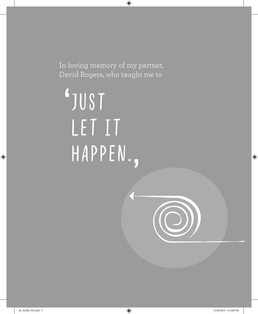In loving memory of my partner, David Rogers, who taught me to

⊕

Sust let it happen.

 $\bigoplus$ 

 $|\mathbf{\oplus}$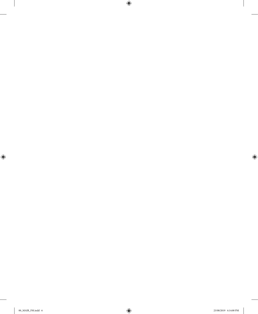

 $\overline{\phantom{a}}$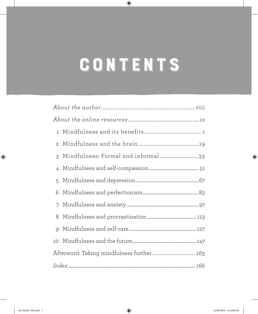# GONTENTS

 $\bigoplus$ 

| $\mathbf{1}$                              |
|-------------------------------------------|
|                                           |
| 3 Mindfulness: Formal and informal33      |
|                                           |
|                                           |
|                                           |
|                                           |
| 8                                         |
|                                           |
|                                           |
| Afterword: Taking mindfulness further 163 |
|                                           |

 $\bigoplus$ 

 $\bigoplus$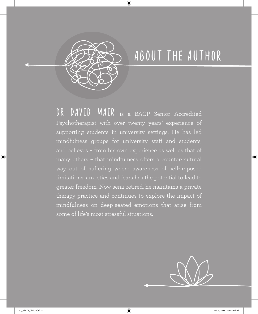

# About the author

DR DAVID MAIR is a BACP Senior Accredited Psychotherapist with over twenty years' experience of supporting students in university settings. He has led mindfulness groups for university staff and students, and believes – from his own experience as well as that of many others – that mindfulness offers a counter-cultural way out of suffering where awareness of self-imposed limitations, anxieties and fears has the potential to lead to greater freedom. Now semi-retired, he maintains a private therapy practice and continues to explore the impact of mindfulness on deep-seated emotions that arise from some of life's most stressful situations.

⊕



⊕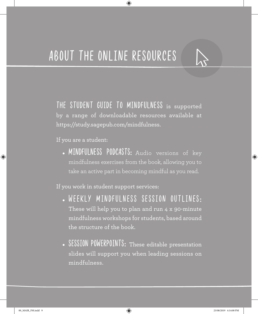# About the Online resources

THE STUDENT GUIDE TO MINDFULNESS is supported by a range of downloadable resources available at https://study.sagepub.com/mindfulness.

⊕

If you are a student:

• MINDFULNESS PODCASTS: Audio versions of key mindfulness exercises from the book, allowing you to take an active part in becoming mindful as you read.

If you work in student support services:

- Weekly mindfulness session outlines: These will help you to plan and run 4 x 90-minute mindfulness workshops for students, based around the structure of the book.
- SESSION POWERPOINTS: These editable presentation slides will support you when leading sessions on mindfulness.

♠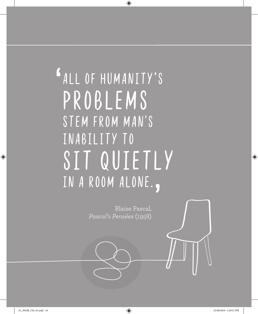# All of humanity's problems stem from man's inability to sit quietly IN A ROOM ALONE.

 $\bigoplus$ 

Blaise Pascal, *Pascal's Pensées* (1958)

 $\bigoplus$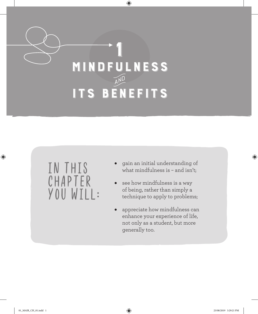# Mindfulness AND its benefits  $\frac{1}{2}$

⊕

## In this CHAP you will:

- gain an initial understanding of what mindfulness is – and isn't;
- see how mindfulness is a way of being, rather than simply a technique to apply to problems;
- appreciate how mindfulness can enhance your experience of life, not only as a student, but more generally too.

 $\bigoplus$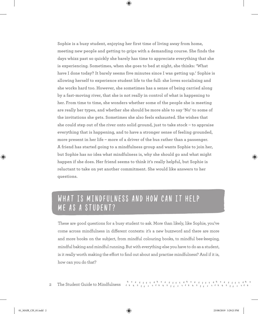**Sophie is a busy student, enjoying her first time of living away from home, meeting new people and getting to grips with a demanding course. She finds the days whizz past so quickly she barely has time to appreciate everything that she is experiencing. Sometimes, when she goes to bed at night, she thinks: 'What have I done today? It barely seems five minutes since I was getting up.' Sophie is allowing herself to experience student life to the full: she loves socialising and she works hard too. However, she sometimes has a sense of being carried along by a fast-moving river, that she is not really in control of what is happening to her. From time to time, she wonders whether some of the people she is meeting are really her types, and whether she should be more able to say 'No' to some of the invitations she gets. Sometimes she also feels exhausted. She wishes that she could step out of the river onto solid ground, just to take stock – to appraise everything that is happening, and to have a stronger sense of feeling grounded, more present in her life – more of a driver of the bus rather than a passenger. A friend has started going to a mindfulness group and wants Sophie to join her, but Sophie has no idea what mindfulness is, why she should go and what might happen if she does. Her friend seems to think it's really helpful, but Sophie is reluctant to take on yet another commitment. She would like answers to her questions.**

⊕

## WHAT IS MINDFULNESS AND HOW CAN IT HELP me as a student?

These are good questions for a busy student to ask. More than likely, like Sophie, you've come across mindfulness in different contexts: it's a new buzzword and there are more and more books on the subject, from mindful colouring books, to mindful bee-keeping, mindful baking and mindful running. But with everything else you have to do as a student, is it really worth making the effort to find out about and practise mindfulness? And if it is, how can you do that?

2 The Student Guide to Mindfulness

♠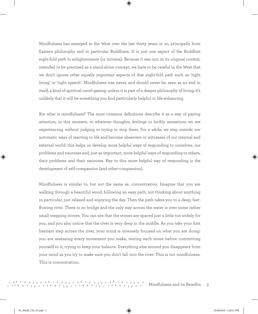Mindfulness has emerged in the West over the last thirty years or so, principally from Eastern philosophy and in particular Buddhism. It is just one aspect of the Buddhist eight-fold path to enlightenment (or nirvana). Because it was not, in its original context, intended to be practised as a stand-alone concept, we have to be careful in the West that we don't ignore other equally important aspects of that eight-fold path such as 'right living' or 'right speech'. Mindfulness was never, and should never be, seen as an end in itself, a kind of spiritual navel-gazing: unless it is part of a deeper philosophy of living, it's unlikely that it will be something you find particularly helpful or life-enhancing.

⊕

But what is mindfulness? The most common definitions describe it as a way of paying attention, in this moment, to whatever thoughts, feelings or bodily sensations we are experiencing, without judging or trying to stop them. For a while, we step outside our automatic ways of reacting to life and become observers or witnesses of our internal and external world: this helps us develop more helpful ways of responding to ourselves, our problems and neuroses and, just as important, more helpful ways of responding to others, their problems and their neuroses. Key to this more helpful way of responding is the development of self-compassion (and other-compassion).

Mindfulness is similar to, but not the same as, concentration. Imagine that you are walking through a beautiful wood, following an easy path, not thinking about anything in particular, just relaxed and enjoying the day. Then the path takes you to a deep, fastflowing river. There is no bridge and the only way across the water is over some rather small stepping stones. You can see that the stones are spaced just a little too widely for you, and you also notice that the river is very deep in the middle. As you take your first hesitant step across the river, your mind is intensely focused on what you are doing: you are assessing every movement you make, testing each stone before committing yourself to it, trying to keep your balance. Everything else around you disappears from your mind as you try to make sure you don't fall into the river. This is not mindfulness. This is concentration.

Mindfulness and its Benefits 3

♠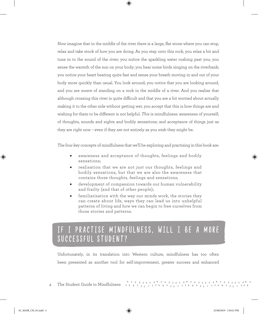Now imagine that in the middle of the river there is a large, flat stone where you can stop, relax and take stock of how you are doing. As you step onto this rock, you relax a bit and tune in to the sound of the river; you notice the sparkling water rushing past you; you sense the warmth of the sun on your body; you hear some birds singing on the riverbank; you notice your heart beating quite fast and sense your breath moving in and out of your body more quickly than usual. You look around; you *notice* that you are looking around, and you are *aware* of standing on a rock in the middle of a river. And you realise that although crossing this river is quite difficult and that you are a bit worried about actually making it to the other side without getting wet, you accept that this is how things are and wishing for them to be different is not helpful. *This* is mindfulness: awareness of yourself; of thoughts, sounds and sights and bodily sensations; and acceptance of things just as they are right now – even if they are not entirely as you wish they might be.

⊕

The four key concepts of mindfulness that we'll be exploring and practising in this book are:

- awareness and acceptance of thoughts, feelings and bodily sensations;
- realisation that we are not *just* our thoughts, feelings and bodily sensations, but that we are also the awareness that contains those thoughts, feelings and sensations;
- development of compassion towards our human vulnerability and frailty (and that of other people);
- familiarisation with the way our minds work, the stories they can create about life, ways they can lead us into unhelpful patterns of living and how we can begin to free ourselves from those stories and patterns.

## IF I PRACTISE MINDFULNESS, WILL I BE A MORE successful student?

Unfortunately, in its translation into Western culture, mindfulness has too often been presented as another tool for self-improvement, greater success and enhanced

 $1 - 1 - 5 - 5 - 4 - 1 - 1$ 

The Student Guide to Mindfulness **All All Ad** 

♠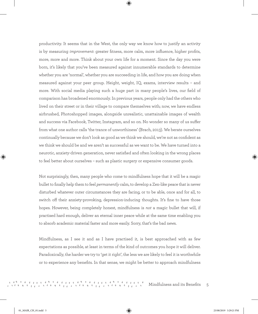productivity. It seems that in the West, the only way we know how to justify an activity is by measuring *improvement*: greater fitness, more calm, more influence, higher profits, more, more and more. Think about your own life for a moment. Since the day you were born, it's likely that you've been measured against innumerable standards to determine whether you are 'normal', whether you are succeeding in life, and how you are doing when measured against your peer group. Height, weight, IQ, exams, interview results – and more. With social media playing such a huge part in many people's lives, our field of comparison has broadened enormously. In previous years, people only had the others who lived on their street or in their village to compare themselves with; now, we have endless airbrushed, Photoshopped images, alongside unrealistic, unattainable images of wealth and success via Facebook, Twitter, Instagram, and so on. No wonder so many of us suffer from what one author calls 'the trance of unworthiness' (Brach, 2013). We berate ourselves continually because we don't look as good as we think we should, we're not as confident as we think we should be and we aren't as successful as we want to be. We have turned into a neurotic, anxiety-driven generation, never satisfied and often looking in the wrong places to feel better about ourselves – such as plastic surgery or expensive consumer goods.

⊕

Not surprisingly, then, many people who come to mindfulness hope that it will be a magic bullet to finally help them to feel *permanently* calm, to develop a Zen-like peace that is never disturbed whatever outer circumstances they are facing, or to be able, once and for all, to switch off their anxiety-provoking, depression-inducing thoughts. It's fine to have those hopes. However, being completely honest, mindfulness is *not* a magic bullet that will, if practised hard enough, deliver an eternal inner peace while at the same time enabling you to absorb academic material faster and more easily. Sorry, that's the bad news.

Mindfulness, as I see it and as I have practised it, is best approached with as few expectations as possible, at least in terms of the kind of outcomes you hope it will deliver. Paradoxically, the harder we try to 'get it right', the less we are likely to feel it is worthwhile or to experience any benefits. In that sense, we might be better to approach mindfulness

Mindfulness and its Benefits 5

♠

♠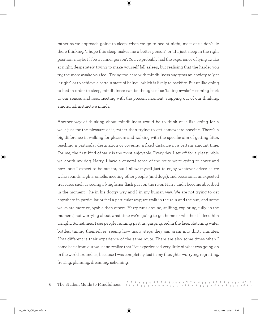⊕

rather as we approach going to sleep: when we go to bed at night, most of us don't lie there thinking, 'I hope this sleep makes me a better person', or 'If I just sleep in the right position, maybe I'll be a calmer person'. You've probably had the experience of lying awake at night, desperately trying to make yourself fall asleep, but realising that the harder you try, the more awake you feel. Trying too hard with mindfulness suggests an anxiety to 'get it right', or to achieve a certain state of being – which is likely to backfire. But unlike going to bed in order to sleep, mindfulness can be thought of as 'falling awake' – coming back to our senses and reconnecting with the present moment, stepping out of our thinking, emotional, instinctive minds.

Another way of thinking about mindfulness would be to think of it like going for a walk just for the pleasure of it, rather than trying to get somewhere specific. There's a big difference in walking for pleasure and walking with the specific aim of getting fitter, reaching a particular destination or covering a fixed distance in a certain amount time. For me, the first kind of walk is the most enjoyable. Every day I set off for a pleasurable walk with my dog, Harry. I have a general sense of the route we're going to cover and how long I expect to be out for, but I allow myself just to enjoy whatever arises as we walk: sounds, sights, smells, meeting other people (and dogs), and occasional unexpected treasures such as seeing a kingfisher flash past on the river. Harry and I become absorbed in the moment – he in his doggy way and I in my human way. We are not trying to get anywhere in particular or feel a particular way; we walk in the rain and the sun, and some walks are more enjoyable than others. Harry runs around, sniffing, exploring, fully 'in the moment', not worrying about what time we're going to get home or whether I'll feed him tonight. Sometimes, I see people running past us, gasping, red in the face, clutching water bottles, timing themselves, seeing how many steps they can cram into thirty minutes. How different is their experience of the same route. There are also some times when I come back from our walk and realise that I've experienced very little of what was going on in the world around us, because I was completely lost in my thoughts: worrying, regretting, fretting, planning, dreaming, scheming.

⊕

<sup>6</sup> The Student Guide to Mindfulness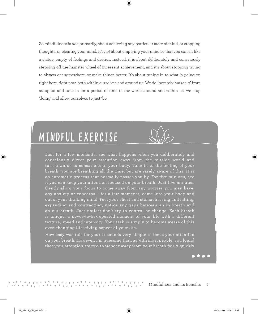So mindfulness is *not*, primarily, about achieving any particular state of mind, or stopping thoughts, or clearing your mind. It's *not* about emptying your mind so that you can sit like a statue, empty of feelings and desires. Instead, it is about deliberately and consciously stepping off the hamster wheel of incessant achievement, and it's about stopping trying to always get somewhere, or make things better. It's about tuning in to what is going on right here, right now, both within ourselves and around us. We deliberately 'wake up' from autopilot and tune in for a period of time to the world around and within us: we stop 'doing' and allow ourselves to just 'be'.

⊕

## Mindful exercise



Just for a few moments, see what happens when you deliberately and consciously direct your attention away from the outside world and turn inwards to sensations in your body. Tune in to the feeling of your breath: you are breathing all the time, but are rarely aware of this. It is an automatic process that normally passes you by. For five minutes, see if you can keep your attention focused on your breath. Just five minutes. Gently allow your focus to come away from any worries you may have, any anxiety or concerns – for a few moments, come into your body and out of your thinking mind. Feel your chest and stomach rising and falling, expanding and contracting; notice any gaps between an in-breath and an out-breath. Just notice; don't try to control or change. Each breath is unique, a never-to-be-repeated moment of your life with a different texture, speed and intensity. Your task is simply to become aware of this ever-changing life-giving aspect of your life.

How easy was this for you? It sounds very simple to focus your attention on your breath. However, I'm guessing that, as with most people, you found that your attention started to wander away from your breath fairly quickly



Mindfulness and its Benefits 7

♠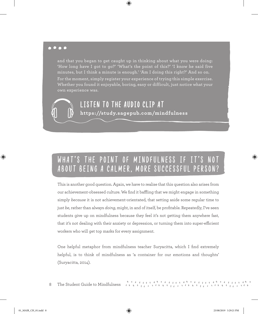#### $\bullet\bullet\bullet\bullet$

and that you began to get caught up in thinking about what you were doing: 'How long have I got to go?' 'What's the point of this?' 'I know he said five minutes, but I think a minute is enough.' 'Am I doing this right?' And so on.

⊕

For the moment, simply register your experience of trying this simple exercise. Whether you found it enjoyable, boring, easy or difficult, just notice what your own experience was.

Listen to the audio clip at **https://study.sagepub.com/m indfulness**

## IT'S THE POINT OF MINDFULNESS IF IT'S about being a calmer, more successful person?

This is another good question. Again, we have to realise that this question also arises from our achievement-obsessed culture. We find it baffling that we might engage in something simply *because* it is not achievement-orientated, that setting aside some regular time to just *be*, rather than always *doing*, might, in and of itself, be profitable. Repeatedly, I've seen students give up on mindfulness because they feel it's not getting them anywhere fast, that it's not dealing with their anxiety or depression, or turning them into super-efficient workers who will get top marks for every assignment.

One helpful metaphor from mindfulness teacher Suryacitta, which I find extremely helpful, is to think of mindfulness as 'a container for our emotions and thoughts' (Suryacitta, 2014).

8 The Student Guide to Mindfulness

♠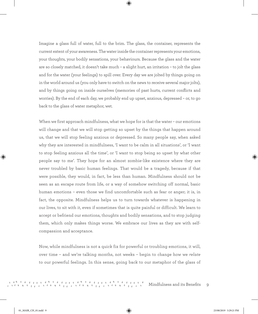Imagine a glass full of water, full to the brim. The glass, the container, represents the current extent of your awareness. The water inside the container represents your emotions, your thoughts, your bodily sensations, your behaviours. Because the glass and the water are so closely matched, it doesn't take much – a slight hurt, an irritation – to jolt the glass and for the water (your feelings) to spill over. Every day we are jolted by things going on in the world around us (you only have to switch on the news to receive several major jolts), and by things going on inside ourselves (memories of past hurts, current conflicts and worries). By the end of each day, we probably end up upset, anxious, depressed – or, to go back to the glass of water metaphor, wet.

⊕

When we first approach mindfulness, what we hope for is that the water – our emotions will change and that we will stop getting so upset by the things that happen around us, that we will stop feeling anxious or depressed. So many people say, when asked why they are interested in mindfulness, 'I want to be calm in all situations', or 'I want to stop feeling anxious all the time', or 'I want to stop being so upset by what other people say to me'. They hope for an almost zombie-like existence where they are never troubled by basic human feelings. That would be a tragedy, because if that were possible, they would, in fact, be less than human. Mindfulness should not be seen as an escape route from life, or a way of somehow switching off normal, basic human emotions – even those we find uncomfortable such as fear or anger; it is, in fact, the opposite. Mindfulness helps us to turn towards whatever is happening in our lives, to sit with it, even if sometimes that is quite painful or difficult. We learn to accept or befriend our emotions, thoughts and bodily sensations, and to stop judging them, which only makes things worse. We embrace our lives as they are with selfcompassion and acceptance.

Now, while mindfulness is not a quick fix for powerful or troubling emotions, it will, over time – and we're talking months, not weeks – begin to change how we *relate* to our powerful feelings. In this sense, going back to our metaphor of the glass of

Mindfulness and its Benefits 9

♠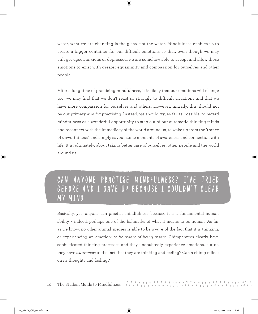water, what we are changing is the glass, not the water. Mindfulness enables us to create a bigger container for our difficult emotions so that, even though we may still get upset, anxious or depressed, we are somehow able to accept and allow those emotions to exist with greater equanimity and compassion for ourselves and other people.

 $\bigoplus$ 

After a long time of practising mindfulness, it is likely that our emotions will change too; we may find that we don't react so strongly to difficult situations and that we have more compassion for ourselves and others. However, initially, this should not be our primary aim for practising. Instead, we should try, as far as possible, to regard mindfulness as a wonderful opportunity to step out of our automatic-thinking minds and reconnect with the immediacy of the world around us, to wake up from the 'trance of unworthiness', and simply savour some moments of awareness and connection with life. It is, ultimately, about taking better care of ourselves, other people and the world around us.

## ANYONE PRACTISE MINDFULNESS? I'VE ORE AND I GAVE UP BECAUSE I COULDN'T CLE. M T N D

Basically, yes, anyone can practise mindfulness because it is a fundamental human ability – indeed, perhaps one of the hallmarks of what it means to be human. As far as we know, no other animal species is able to be *aware* of the fact that it is thinking, or experiencing an emotion: *to be aware of being aware*. Chimpanzees clearly have sophisticated thinking processes and they undoubtedly experience emotions, but do they have *awareness* of the fact that they are thinking and feeling? Can a chimp reflect on its thoughts and feelings?

10 The Student Guide to Mindfulness

♠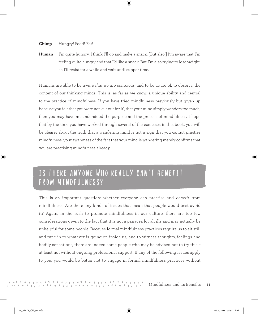#### **Chimp** Hungry! Food! Eat!

**Human** I'm quite hungry. I think I'll go and make a snack. [But also:] I'm aware that I'm feeling quite hungry and that I'd like a snack. But I'm also trying to lose weight, so I'll resist for a while and wait until supper time.

⊕

Humans are able to be *aware that we are conscious*, and to be aware of, to observe, the content of our thinking minds. This is, as far as we know, a unique ability and central to the practice of mindfulness. If you have tried mindfulness previously but given up because you felt that you were not 'cut out for it', that your mind simply wanders too much, then you may have misunderstood the purpose and the process of mindfulness. I hope that by the time you have worked through several of the exercises in this book, you will be clearer about the truth that a wandering mind is not a sign that you cannot practise mindfulness; your awareness of the fact that your mind is wandering merely confirms that you are practising mindfulness already.

## IS THERE ANYONE WHO REALLY CAN'T BENEFIT from mindfulness?

This is an important question: whether everyone can practise and *benefit* from mindfulness. Are there any kinds of issues that mean that people would best avoid it? Again, in the rush to promote mindfulness in our culture, there are too few considerations given to the fact that it is not a panacea for all ills and may actually be unhelpful for some people. Because formal mindfulness practices require us to sit still and tune in to whatever is going on inside us, and to witness thoughts, feelings and bodily sensations, there are indeed some people who may be advised not to try this – at least not without ongoing professional support. If any of the following issues apply to you, you would be better not to engage in formal mindfulness practices without

Mindfulness and its Benefits 11

♠

♠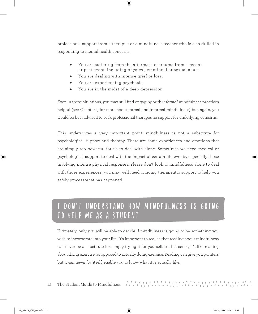professional support from a therapist or a mindfulness teacher who is also skilled in responding to mental health concerns.

⊕

- You are suffering from the aftermath of trauma from a recent or past event, including physical, emotional or sexual abuse.
- You are dealing with intense grief or loss.
- You are experiencing psychosis.
- You are in the midst of a deep depression.

Even in these situations, you may still find engaging with *informal* mindfulness practices helpful (see Chapter 3 for more about formal and informal mindfulness) but, again, you would be best advised to seek professional therapeutic support for underlying concerns.

This underscores a very important point: mindfulness is not a substitute for psychological support and therapy. There are some experiences and emotions that are simply too powerful for us to deal with alone. Sometimes we need medical or psychological support to deal with the impact of certain life events, especially those involving intense physical responses. Please don't look to mindfulness alone to deal with those experiences; you may well need ongoing therapeutic support to help you safely process what has happened.

## I DON'T UNDERSTAND HOW MINDFULNESS IS GOING to help me as a student

Ultimately, only you will be able to decide if mindfulness is going to be something you wish to incorporate into your life. It's important to realise that reading about mindfulness can never be a substitute for simply trying it for yourself. In that sense, it's like reading about doing exercise, as opposed to actually doing exercise. Reading can give you pointers but it can never, by itself, enable you to know what it is actually like.

12 The Student Guide to Mindfulness

♠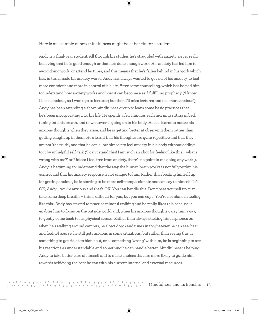Here is an example of how mindfulness might be of benefit for a student:

⊕

**Andy is a final-year student. All through his studies he's struggled with anxiety, never really believing that he is good enough or that he's done enough work. His anxiety has led him to avoid doing work, or attend lectures, and this means that he's fallen behind in his work which has, in turn, made his anxiety worse. Andy has always wanted to get rid of his anxiety, to feel more confident and more in control of his life. After some counselling, which has helped him to understand how anxiety works and how it can become a self-fulfilling prophecy ('I know I'll feel anxious, so I won't go to lectures; but then I'll miss lectures and feel more anxious'), Andy has been attending a short mindfulness group to learn some basic practices that he's been incorporating into his life. He spends a few minutes each morning sitting in bed, tuning into his breath, and to whatever is going on in his body. He has learnt to notice his anxious thoughts when they arise, and he is getting better at observing them rather than getting caught up in them. He's learnt that his thoughts are quite repetitive and that they are not 'the truth', and that he can allow himself to feel anxiety in his body without adding to it by unhelpful self-talk ('I can't stand this! I am such an idiot for feeling like this – what's wrong with me?' or 'Unless I feel free from anxiety, there's no point in me doing any work'). Andy is beginning to understand that the way the human brain works is not fully within his control and that his anxiety response is not unique to him. Rather than beating himself up for getting anxious, he is starting to be more self-compassionate and can say to himself: 'It's OK, Andy – you're anxious and that's OK. You can handle this. Don't beat yourself up, just take some deep breaths – this is difficult for you, but you can cope. You're not alone in feeling like this.' Andy has started to practise mindful walking and he really likes this because it enables him to focus on the outside world and, when his anxious thoughts carry him away, to gently come back to his physical senses. Rather than always sticking his earphones on when he's walking around campus, he slows down and tunes in to whatever he can see, hear and feel. Of course, he still gets anxious in some situations, but rather than seeing this as something to get rid of, to blank out, or as something 'wrong' with him, he is beginning to see his reactions as understandable and something he can handle better. Mindfulness is helping Andy to take better care of himself and to make choices that are more likely to guide him towards achieving the best he can with his current internal and external resources.**

Mindfulness and its Benefits 13

♠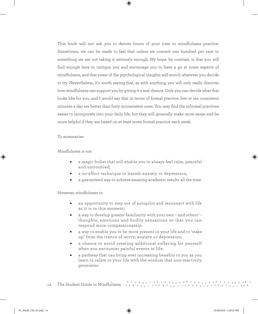This book will not ask you to devote hours of your time to mindfulness practice. Sometimes, we can be made to feel that unless we commit one hundred per cent to something we are not taking it seriously enough. My hope, by contrast, is that you will find enough here to intrigue you and encourage you to have a go at some aspects of mindfulness, and that some of the psychological insights will enrich whatever you decide to try. Nevertheless, it's worth saying that, as with anything, you will only really discover how mindfulness can support you by giving it a real chance. Only you can decide what that looks like for you, and I would say that in terms of formal practice, five or ten consistent minutes a day are better than forty inconsistent ones. You may find the informal practices easier to incorporate into your daily life, but they will generally make more sense and be more helpful if they are based on at least some formal practice each week.

⊕

To summarise:

Mindfulness *is not*:

- a magic bullet that will enable you to always feel calm, peaceful and untroubled;
- a no-effort technique to banish anxiety or depression;
- a guaranteed way to achieve amazing academic results all the time.

However, mindfulness *is*:

- an opportunity to step out of autopilot and reconnect with life as it is in this moment;
- a way to develop greater familiarity with your own and others' thoughts, emotions and bodily sensations so that you can respond more compassionately;
- a way to enable you to be more present in your life and to 'wake up' from the trance of worry, anxiety or depression;
- a chance to avoid creating additional suffering for vourself when you encounter painful events in life;
- a pathway that can bring ever increasing benefits to you as you learn to relate to your life with the wisdom that non-reactivity generates.
- 14 The Student Guide to Mindfulness All Arrest

♠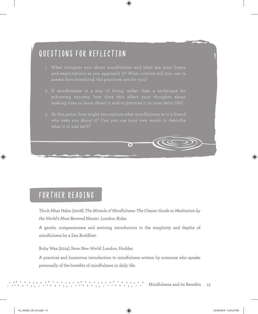## Questions for reflection

1. What intrigues you about mindfulness and what are your hopes and expectations as you approach it? What criteria will you use to

⊕

- achieving success, how does this affect your thoughts about making time to learn about it and to practise it in your daily life?
- what it is and isn't?

 $\overline{\text{O}}$ 

## Further reading

Thich Nhat Hahn (2008) *The Miracle of Mindfulness: The Classic Guide to Meditation by the World's Most Revered Master*. London: Rider.

A gentle, compassionate and enticing introduction to the simplicity and depths of mindfulness by a Zen Buddhist.

Ruby Wax (2014) *Sane New World*. London: Hodder.

A practical and humorous introduction to mindfulness written by someone who speaks personally of the benefits of mindfulness in daily life.

Mindfulness and its Benefits 15

♠